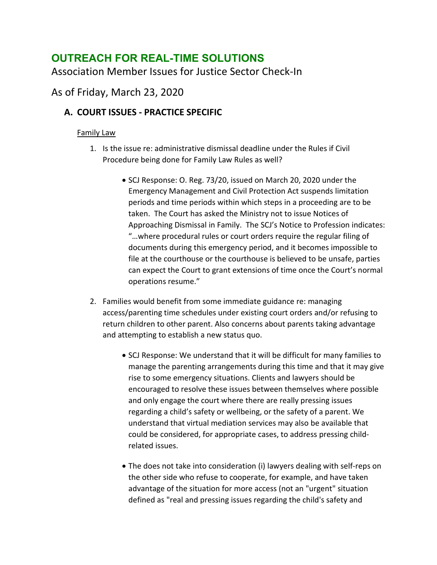# **OUTREACH FOR REAL-TIME SOLUTIONS**

Association Member Issues for Justice Sector Check-In

## As of Friday, March 23, 2020

## **A. COURT ISSUES - PRACTICE SPECIFIC**

### Family Law

- 1. Is the issue re: administrative dismissal deadline under the Rules if Civil Procedure being done for Family Law Rules as well?
	- SCJ Response: O. Reg. 73/20, issued on March 20, 2020 under the Emergency Management and Civil Protection Act suspends limitation periods and time periods within which steps in a proceeding are to be taken. The Court has asked the Ministry not to issue Notices of Approaching Dismissal in Family. The SCJ's Notice to Profession indicates: "…where procedural rules or court orders require the regular filing of documents during this emergency period, and it becomes impossible to file at the courthouse or the courthouse is believed to be unsafe, parties can expect the Court to grant extensions of time once the Court's normal operations resume."
- 2. Families would benefit from some immediate guidance re: managing access/parenting time schedules under existing court orders and/or refusing to return children to other parent. Also concerns about parents taking advantage and attempting to establish a new status quo.
	- SCJ Response: We understand that it will be difficult for many families to manage the parenting arrangements during this time and that it may give rise to some emergency situations. Clients and lawyers should be encouraged to resolve these issues between themselves where possible and only engage the court where there are really pressing issues regarding a child's safety or wellbeing, or the safety of a parent. We understand that virtual mediation services may also be available that could be considered, for appropriate cases, to address pressing childrelated issues.
	- The does not take into consideration (i) lawyers dealing with self-reps on the other side who refuse to cooperate, for example, and have taken advantage of the situation for more access (not an "urgent" situation defined as "real and pressing issues regarding the child's safety and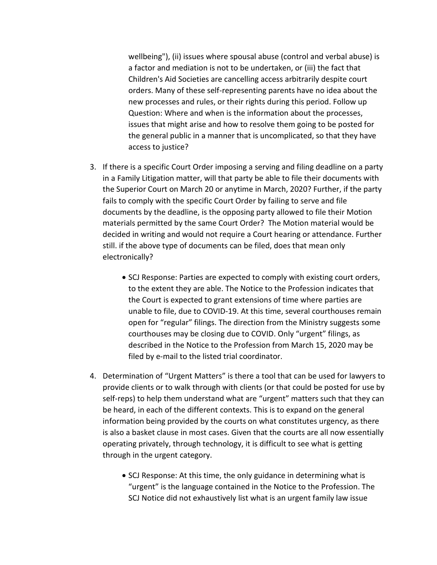wellbeing"), (ii) issues where spousal abuse (control and verbal abuse) is a factor and mediation is not to be undertaken, or (iii) the fact that Children's Aid Societies are cancelling access arbitrarily despite court orders. Many of these self-representing parents have no idea about the new processes and rules, or their rights during this period. Follow up Question: Where and when is the information about the processes, issues that might arise and how to resolve them going to be posted for the general public in a manner that is uncomplicated, so that they have access to justice?

- 3. If there is a specific Court Order imposing a serving and filing deadline on a party in a Family Litigation matter, will that party be able to file their documents with the Superior Court on March 20 or anytime in March, 2020? Further, if the party fails to comply with the specific Court Order by failing to serve and file documents by the deadline, is the opposing party allowed to file their Motion materials permitted by the same Court Order? The Motion material would be decided in writing and would not require a Court hearing or attendance. Further still. if the above type of documents can be filed, does that mean only electronically?
	- SCJ Response: Parties are expected to comply with existing court orders, to the extent they are able. The Notice to the Profession indicates that the Court is expected to grant extensions of time where parties are unable to file, due to COVID-19. At this time, several courthouses remain open for "regular" filings. The direction from the Ministry suggests some courthouses may be closing due to COVID. Only "urgent" filings, as described in the Notice to the Profession from March 15, 2020 may be filed by e-mail to the listed trial coordinator.
- 4. Determination of "Urgent Matters" is there a tool that can be used for lawyers to provide clients or to walk through with clients (or that could be posted for use by self-reps) to help them understand what are "urgent" matters such that they can be heard, in each of the different contexts. This is to expand on the general information being provided by the courts on what constitutes urgency, as there is also a basket clause in most cases. Given that the courts are all now essentially operating privately, through technology, it is difficult to see what is getting through in the urgent category.
	- SCJ Response: At this time, the only guidance in determining what is "urgent" is the language contained in the Notice to the Profession. The SCJ Notice did not exhaustively list what is an urgent family law issue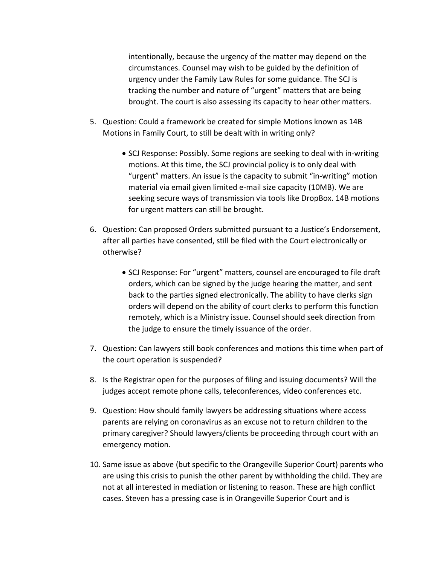intentionally, because the urgency of the matter may depend on the circumstances. Counsel may wish to be guided by the definition of urgency under the Family Law Rules for some guidance. The SCJ is tracking the number and nature of "urgent" matters that are being brought. The court is also assessing its capacity to hear other matters.

- 5. Question: Could a framework be created for simple Motions known as 14B Motions in Family Court, to still be dealt with in writing only?
	- SCJ Response: Possibly. Some regions are seeking to deal with in-writing motions. At this time, the SCJ provincial policy is to only deal with "urgent" matters. An issue is the capacity to submit "in-writing" motion material via email given limited e-mail size capacity (10MB). We are seeking secure ways of transmission via tools like DropBox. 14B motions for urgent matters can still be brought.
- 6. Question: Can proposed Orders submitted pursuant to a Justice's Endorsement, after all parties have consented, still be filed with the Court electronically or otherwise?
	- SCJ Response: For "urgent" matters, counsel are encouraged to file draft orders, which can be signed by the judge hearing the matter, and sent back to the parties signed electronically. The ability to have clerks sign orders will depend on the ability of court clerks to perform this function remotely, which is a Ministry issue. Counsel should seek direction from the judge to ensure the timely issuance of the order.
- 7. Question: Can lawyers still book conferences and motions this time when part of the court operation is suspended?
- 8. Is the Registrar open for the purposes of filing and issuing documents? Will the judges accept remote phone calls, teleconferences, video conferences etc.
- 9. Question: How should family lawyers be addressing situations where access parents are relying on coronavirus as an excuse not to return children to the primary caregiver? Should lawyers/clients be proceeding through court with an emergency motion.
- 10. Same issue as above (but specific to the Orangeville Superior Court) parents who are using this crisis to punish the other parent by withholding the child. They are not at all interested in mediation or listening to reason. These are high conflict cases. Steven has a pressing case is in Orangeville Superior Court and is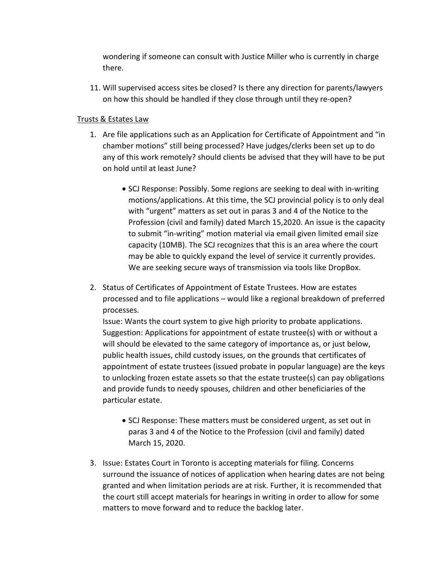wondering if someone can consult with Justice Miller who is currently in charge there.

11. Will supervised access sites be closed? Is there any direction for parents/lawyers on how this should be handled if they close through until they re-open?

#### Trusts & Estates Law

- 1. Are file applications such as an Application for Certificate of Appointment and "in chamber motions" still being processed? Have judges/clerks been set up to do any of this work remotely? should clients be advised that they will have to be put on hold until at least June?
	- SCJ Response: Possibly. Some regions are seeking to deal with in-writing motions/applications. At this time, the SCJ provincial policy is to only deal with "urgent" matters as set out in paras 3 and 4 of the Notice to the Profession (civil and family) dated March 15,2020. An issue is the capacity to submit "in-writing" motion material via email given limited email size capacity (10MB). The SCJ recognizes that this is an area where the court may be able to quickly expand the level of service it currently provides. We are seeking secure ways of transmission via tools like DropBox.
- 2. Status of Certificates of Appointment of Estate Trustees. How are estates processed and to file applications – would like a regional breakdown of preferred processes.

Issue: Wants the court system to give high priority to probate applications. Suggestion: Applications for appointment of estate trustee(s) with or without a will should be elevated to the same category of importance as, or just below, public health issues, child custody issues, on the grounds that certificates of appointment of estate trustees (issued probate in popular language) are the keys to unlocking frozen estate assets so that the estate trustee(s) can pay obligations and provide funds to needy spouses, children and other beneficiaries of the particular estate.

- SCJ Response: These matters must be considered urgent, as set out in paras 3 and 4 of the Notice to the Profession (civil and family) dated March 15, 2020.
- 3. Issue: Estates Court in Toronto is accepting materials for filing. Concerns surround the issuance of notices of application when hearing dates are not being granted and when limitation periods are at risk. Further, it is recommended that the court still accept materials for hearings in writing in order to allow for some matters to move forward and to reduce the backlog later.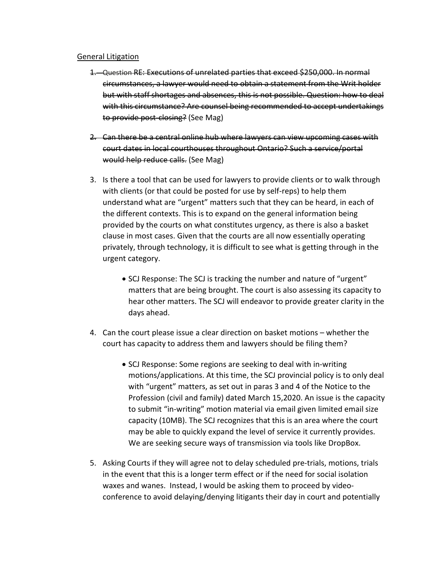#### General Litigation

- 1. Question RE: Executions of unrelated parties that exceed \$250,000. In normal circumstances, a lawyer would need to obtain a statement from the Writ holder but with staff shortages and absences, this is not possible. Question: how to deal with this circumstance? Are counsel being recommended to accept undertakings to provide post-closing? (See Mag)
- 2. Can there be a central online hub where lawyers can view upcoming cases with court dates in local courthouses throughout Ontario? Such a service/portal would help reduce calls. (See Mag)
- 3. Is there a tool that can be used for lawyers to provide clients or to walk through with clients (or that could be posted for use by self-reps) to help them understand what are "urgent" matters such that they can be heard, in each of the different contexts. This is to expand on the general information being provided by the courts on what constitutes urgency, as there is also a basket clause in most cases. Given that the courts are all now essentially operating privately, through technology, it is difficult to see what is getting through in the urgent category.
	- SCJ Response: The SCJ is tracking the number and nature of "urgent" matters that are being brought. The court is also assessing its capacity to hear other matters. The SCJ will endeavor to provide greater clarity in the days ahead.
- 4. Can the court please issue a clear direction on basket motions whether the court has capacity to address them and lawyers should be filing them?
	- SCJ Response: Some regions are seeking to deal with in-writing motions/applications. At this time, the SCJ provincial policy is to only deal with "urgent" matters, as set out in paras 3 and 4 of the Notice to the Profession (civil and family) dated March 15,2020. An issue is the capacity to submit "in-writing" motion material via email given limited email size capacity (10MB). The SCJ recognizes that this is an area where the court may be able to quickly expand the level of service it currently provides. We are seeking secure ways of transmission via tools like DropBox.
- 5. Asking Courts if they will agree not to delay scheduled pre-trials, motions, trials in the event that this is a longer term effect or if the need for social isolation waxes and wanes. Instead, I would be asking them to proceed by videoconference to avoid delaying/denying litigants their day in court and potentially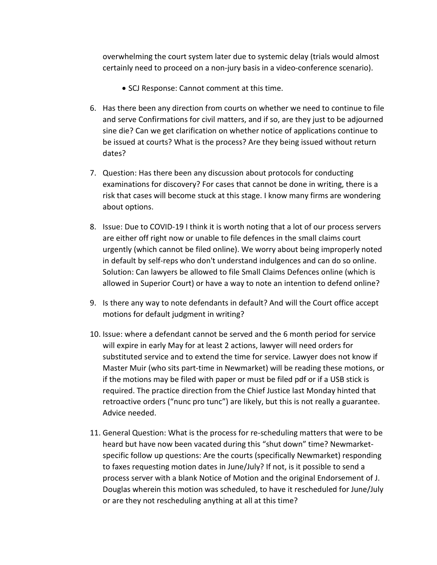overwhelming the court system later due to systemic delay (trials would almost certainly need to proceed on a non-jury basis in a video-conference scenario).

- SCJ Response: Cannot comment at this time.
- 6. Has there been any direction from courts on whether we need to continue to file and serve Confirmations for civil matters, and if so, are they just to be adjourned sine die? Can we get clarification on whether notice of applications continue to be issued at courts? What is the process? Are they being issued without return dates?
- 7. Question: Has there been any discussion about protocols for conducting examinations for discovery? For cases that cannot be done in writing, there is a risk that cases will become stuck at this stage. I know many firms are wondering about options.
- 8. Issue: Due to COVID-19 I think it is worth noting that a lot of our process servers are either off right now or unable to file defences in the small claims court urgently (which cannot be filed online). We worry about being improperly noted in default by self-reps who don't understand indulgences and can do so online. Solution: Can lawyers be allowed to file Small Claims Defences online (which is allowed in Superior Court) or have a way to note an intention to defend online?
- 9. Is there any way to note defendants in default? And will the Court office accept motions for default judgment in writing?
- 10. Issue: where a defendant cannot be served and the 6 month period for service will expire in early May for at least 2 actions, lawyer will need orders for substituted service and to extend the time for service. Lawyer does not know if Master Muir (who sits part-time in Newmarket) will be reading these motions, or if the motions may be filed with paper or must be filed pdf or if a USB stick is required. The practice direction from the Chief Justice last Monday hinted that retroactive orders ("nunc pro tunc") are likely, but this is not really a guarantee. Advice needed.
- 11. General Question: What is the process for re-scheduling matters that were to be heard but have now been vacated during this "shut down" time? Newmarketspecific follow up questions: Are the courts (specifically Newmarket) responding to faxes requesting motion dates in June/July? If not, is it possible to send a process server with a blank Notice of Motion and the original Endorsement of J. Douglas wherein this motion was scheduled, to have it rescheduled for June/July or are they not rescheduling anything at all at this time?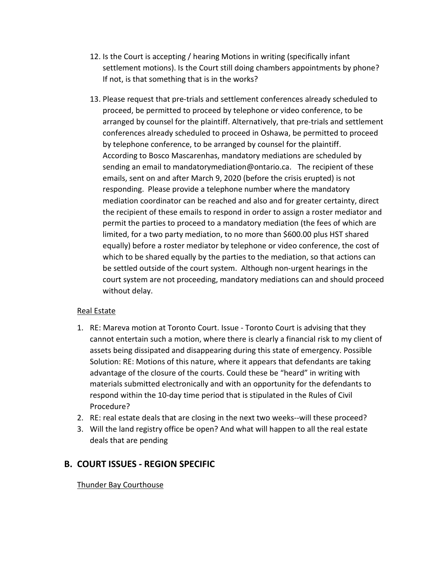- 12. Is the Court is accepting / hearing Motions in writing (specifically infant settlement motions). Is the Court still doing chambers appointments by phone? If not, is that something that is in the works?
- 13. Please request that pre-trials and settlement conferences already scheduled to proceed, be permitted to proceed by telephone or video conference, to be arranged by counsel for the plaintiff. Alternatively, that pre-trials and settlement conferences already scheduled to proceed in Oshawa, be permitted to proceed by telephone conference, to be arranged by counsel for the plaintiff. According to Bosco Mascarenhas, mandatory mediations are scheduled by sending an email to mandatorymediation@ontario.ca. The recipient of these emails, sent on and after March 9, 2020 (before the crisis erupted) is not responding. Please provide a telephone number where the mandatory mediation coordinator can be reached and also and for greater certainty, direct the recipient of these emails to respond in order to assign a roster mediator and permit the parties to proceed to a mandatory mediation (the fees of which are limited, for a two party mediation, to no more than \$600.00 plus HST shared equally) before a roster mediator by telephone or video conference, the cost of which to be shared equally by the parties to the mediation, so that actions can be settled outside of the court system. Although non-urgent hearings in the court system are not proceeding, mandatory mediations can and should proceed without delay.

#### Real Estate

- 1. RE: Mareva motion at Toronto Court. Issue Toronto Court is advising that they cannot entertain such a motion, where there is clearly a financial risk to my client of assets being dissipated and disappearing during this state of emergency. Possible Solution: RE: Motions of this nature, where it appears that defendants are taking advantage of the closure of the courts. Could these be "heard" in writing with materials submitted electronically and with an opportunity for the defendants to respond within the 10-day time period that is stipulated in the Rules of Civil Procedure?
- 2. RE: real estate deals that are closing in the next two weeks--will these proceed?
- 3. Will the land registry office be open? And what will happen to all the real estate deals that are pending

## **B. COURT ISSUES - REGION SPECIFIC**

#### Thunder Bay Courthouse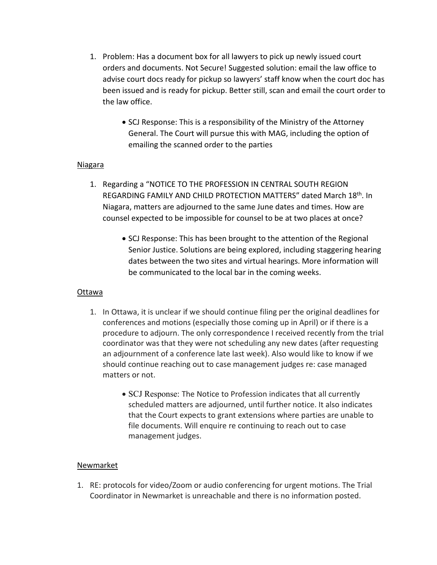- 1. Problem: Has a document box for all lawyers to pick up newly issued court orders and documents. Not Secure! Suggested solution: email the law office to advise court docs ready for pickup so lawyers' staff know when the court doc has been issued and is ready for pickup. Better still, scan and email the court order to the law office.
	- SCJ Response: This is a responsibility of the Ministry of the Attorney General. The Court will pursue this with MAG, including the option of emailing the scanned order to the parties

#### Niagara

- 1. Regarding a "NOTICE TO THE PROFESSION IN CENTRAL SOUTH REGION REGARDING FAMILY AND CHILD PROTECTION MATTERS" dated March 18th. In Niagara, matters are adjourned to the same June dates and times. How are counsel expected to be impossible for counsel to be at two places at once?
	- SCJ Response: This has been brought to the attention of the Regional Senior Justice. Solutions are being explored, including staggering hearing dates between the two sites and virtual hearings. More information will be communicated to the local bar in the coming weeks.

#### Ottawa

- 1. In Ottawa, it is unclear if we should continue filing per the original deadlines for conferences and motions (especially those coming up in April) or if there is a procedure to adjourn. The only correspondence I received recently from the trial coordinator was that they were not scheduling any new dates (after requesting an adjournment of a conference late last week). Also would like to know if we should continue reaching out to case management judges re: case managed matters or not.
	- SCJ Response: The Notice to Profession indicates that all currently scheduled matters are adjourned, until further notice. It also indicates that the Court expects to grant extensions where parties are unable to file documents. Will enquire re continuing to reach out to case management judges.

#### Newmarket

1. RE: protocols for video/Zoom or audio conferencing for urgent motions. The Trial Coordinator in Newmarket is unreachable and there is no information posted.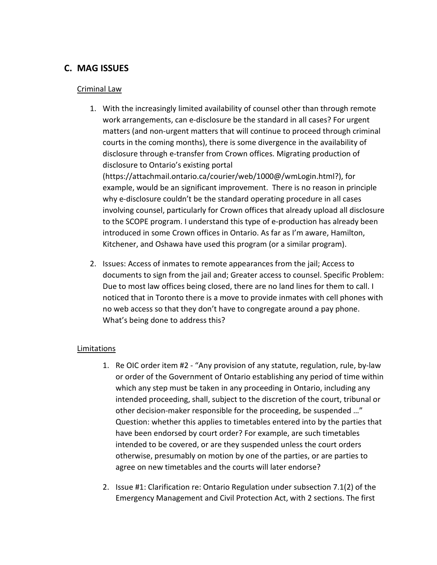## **C. MAG ISSUES**

#### Criminal Law

1. With the increasingly limited availability of counsel other than through remote work arrangements, can e-disclosure be the standard in all cases? For urgent matters (and non-urgent matters that will continue to proceed through criminal courts in the coming months), there is some divergence in the availability of disclosure through e-transfer from Crown offices. Migrating production of disclosure to Ontario's existing portal (https://attachmail.ontario.ca/courier/web/1000@/wmLogin.html?), for example, would be an significant improvement. There is no reason in principle why e-disclosure couldn't be the standard operating procedure in all cases involving counsel, particularly for Crown offices that already upload all disclosure

to the SCOPE program. I understand this type of e-production has already been introduced in some Crown offices in Ontario. As far as I'm aware, Hamilton, Kitchener, and Oshawa have used this program (or a similar program).

2. Issues: Access of inmates to remote appearances from the jail; Access to documents to sign from the jail and; Greater access to counsel. Specific Problem: Due to most law offices being closed, there are no land lines for them to call. I noticed that in Toronto there is a move to provide inmates with cell phones with no web access so that they don't have to congregate around a pay phone. What's being done to address this?

#### Limitations

- 1. Re OIC order item #2 "Any provision of any statute, regulation, rule, by-law or order of the Government of Ontario establishing any period of time within which any step must be taken in any proceeding in Ontario, including any intended proceeding, shall, subject to the discretion of the court, tribunal or other decision-maker responsible for the proceeding, be suspended …" Question: whether this applies to timetables entered into by the parties that have been endorsed by court order? For example, are such timetables intended to be covered, or are they suspended unless the court orders otherwise, presumably on motion by one of the parties, or are parties to agree on new timetables and the courts will later endorse?
- 2. Issue #1: Clarification re: Ontario Regulation under subsection 7.1(2) of the Emergency Management and Civil Protection Act, with 2 sections. The first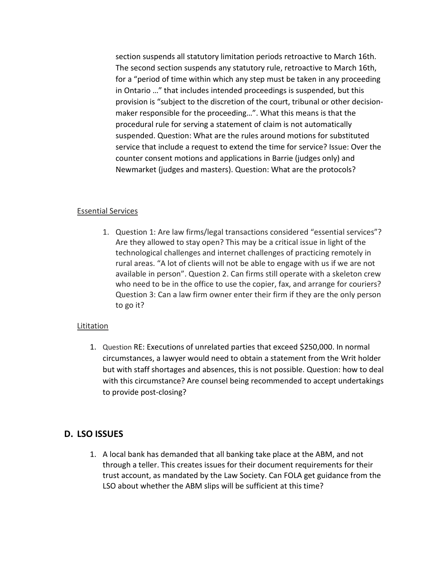section suspends all statutory limitation periods retroactive to March 16th. The second section suspends any statutory rule, retroactive to March 16th, for a "period of time within which any step must be taken in any proceeding in Ontario …" that includes intended proceedings is suspended, but this provision is "subject to the discretion of the court, tribunal or other decisionmaker responsible for the proceeding…". What this means is that the procedural rule for serving a statement of claim is not automatically suspended. Question: What are the rules around motions for substituted service that include a request to extend the time for service? Issue: Over the counter consent motions and applications in Barrie (judges only) and Newmarket (judges and masters). Question: What are the protocols?

#### Essential Services

1. Question 1: Are law firms/legal transactions considered "essential services"? Are they allowed to stay open? This may be a critical issue in light of the technological challenges and internet challenges of practicing remotely in rural areas. "A lot of clients will not be able to engage with us if we are not available in person". Question 2. Can firms still operate with a skeleton crew who need to be in the office to use the copier, fax, and arrange for couriers? Question 3: Can a law firm owner enter their firm if they are the only person to go it?

#### Lititation

1. Question RE: Executions of unrelated parties that exceed \$250,000. In normal circumstances, a lawyer would need to obtain a statement from the Writ holder but with staff shortages and absences, this is not possible. Question: how to deal with this circumstance? Are counsel being recommended to accept undertakings to provide post-closing?

### **D. LSO ISSUES**

1. A local bank has demanded that all banking take place at the ABM, and not through a teller. This creates issues for their document requirements for their trust account, as mandated by the Law Society. Can FOLA get guidance from the LSO about whether the ABM slips will be sufficient at this time?